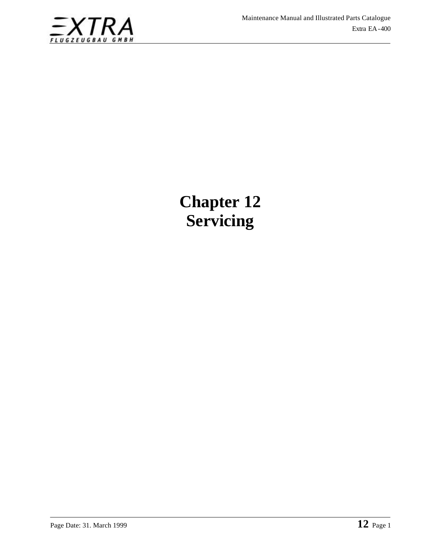

# **Chapter 12 Servicing**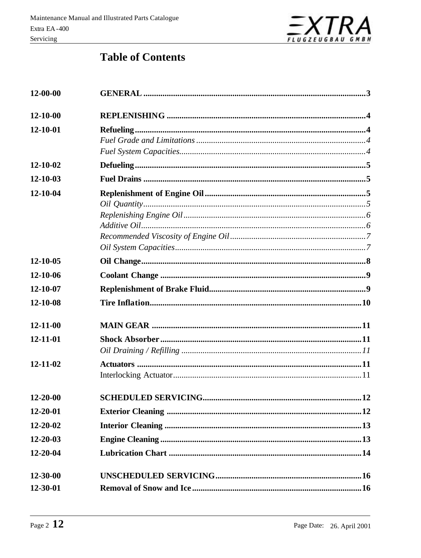

## **Table of Contents**

| 12-00-00       |  |  |  |
|----------------|--|--|--|
| $12 - 10 - 00$ |  |  |  |
| 12-10-01       |  |  |  |
|                |  |  |  |
|                |  |  |  |
| 12-10-02       |  |  |  |
| 12-10-03       |  |  |  |
| 12-10-04       |  |  |  |
|                |  |  |  |
|                |  |  |  |
|                |  |  |  |
|                |  |  |  |
| 12-10-05       |  |  |  |
| 12-10-06       |  |  |  |
| 12-10-07       |  |  |  |
| 12-10-08       |  |  |  |
|                |  |  |  |
| $12 - 11 - 00$ |  |  |  |
| 12-11-01       |  |  |  |
|                |  |  |  |
| 12-11-02       |  |  |  |
|                |  |  |  |
| $12 - 20 - 00$ |  |  |  |
| 12-20-01       |  |  |  |
| $12 - 20 - 02$ |  |  |  |
| $12 - 20 - 03$ |  |  |  |
| 12-20-04       |  |  |  |
| 12-30-00       |  |  |  |
| 12-30-01       |  |  |  |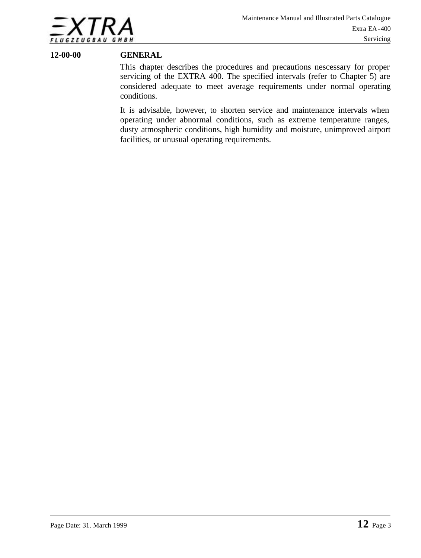

#### **12-00-00 GENERAL**

This chapter describes the procedures and precautions nescessary for proper servicing of the EXTRA 400. The specified intervals (refer to Chapter 5) are considered adequate to meet average requirements under normal operating conditions.

It is advisable, however, to shorten service and maintenance intervals when operating under abnormal conditions, such as extreme temperature ranges, dusty atmospheric conditions, high humidity and moisture, unimproved airport facilities, or unusual operating requirements.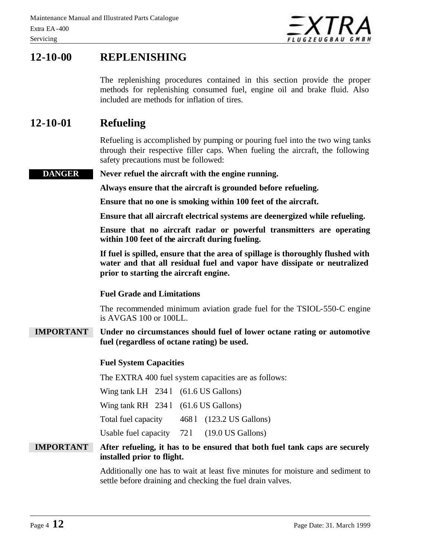

### **12-10-00 REPLENISHING**

The replenishing procedures contained in this section provide the proper methods for replenishing consumed fuel, engine oil and brake fluid. Also included are methods for inflation of tires.

### **12-10-01 Refueling**

Refueling is accomplished by pumping or pouring fuel into the two wing tanks through their respective filler caps. When fueling the aircraft, the following safety precautions must be followed:

**DANGER Never refuel the aircraft with the engine running.**

**Always ensure that the aircraft is grounded before refueling.**

**Ensure that no one is smoking within 100 feet of the aircraft.**

**Ensure that all aircraft electrical systems are deenergized while refueling.**

**Ensure that no aircraft radar or powerful transmitters are operating within 100 feet of the aircraft during fueling.**

**If fuel is spilled, ensure that the area of spillage is thoroughly flushed with water and that all residual fuel and vapor have dissipate or neutralized prior to starting the aircraft engine.**

#### **Fuel Grade and Limitations**

The recommended minimum aviation grade fuel for the TSIOL-550-C engine is AVGAS 100 or 100LL.

### **IMPORTANT Under no circumstances should fuel of lower octane rating or automotive fuel (regardless of octane rating) be used.**

#### **Fuel System Capacities**

The EXTRA 400 fuel system capacities are as follows:

Wing tank  $LH$  234 l (61.6 US Gallons)

Wing tank  $RH$  234 l (61.6 US Gallons)

Total fuel capacity 468 l (123.2 US Gallons)

Usable fuel capacity 721 (19.0 US Gallons)

### **IMPORTANT After refueling, it has to be ensured that both fuel tank caps are securely installed prior to flight.**

Additionally one has to wait at least five minutes for moisture and sediment to settle before draining and checking the fuel drain valves.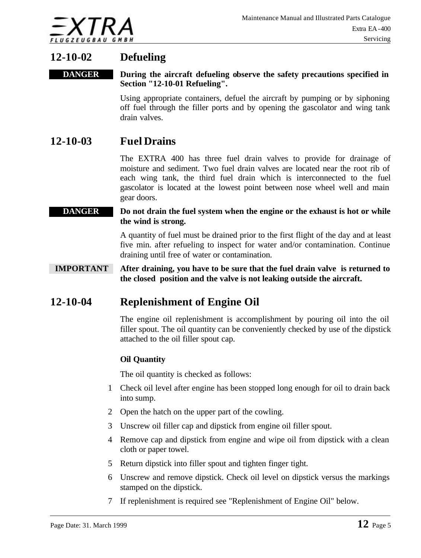

### **12-10-02 Defueling**

#### **DANGER During the aircraft defueling observe the safety precautions specified in Section "12-10-01 Refueling".**

Using appropriate containers, defuel the aircraft by pumping or by siphoning off fuel through the filler ports and by opening the gascolator and wing tank drain valves.

### **12-10-03 Fuel Drains**

The EXTRA 400 has three fuel drain valves to provide for drainage of moisture and sediment. Two fuel drain valves are located near the root rib of each wing tank, the third fuel drain which is interconnected to the fuel gascolator is located at the lowest point between nose wheel well and main gear doors.

#### **DANGER** Do not drain the fuel system when the engine or the exhaust is hot or while **the wind is strong.**

A quantity of fuel must be drained prior to the first flight of the day and at least five min. after refueling to inspect for water and/or contamination. Continue draining until free of water or contamination.

#### **IMPORTANT After draining, you have to be sure that the fuel drain valve is returned to the closed position and the valve is not leaking outside the aircraft.**

### **12-10-04 Replenishment of Engine Oil**

The engine oil replenishment is accomplishment by pouring oil into the oil filler spout. The oil quantity can be conveniently checked by use of the dipstick attached to the oil filler spout cap.

### **Oil Quantity**

The oil quantity is checked as follows:

- 1 Check oil level after engine has been stopped long enough for oil to drain back into sump.
- 2 Open the hatch on the upper part of the cowling.
- 3 Unscrew oil filler cap and dipstick from engine oil filler spout.
- 4 Remove cap and dipstick from engine and wipe oil from dipstick with a clean cloth or paper towel.
- 5 Return dipstick into filler spout and tighten finger tight.
- 6 Unscrew and remove dipstick. Check oil level on dipstick versus the markings stamped on the dipstick.
- 7 If replenishment is required see "Replenishment of Engine Oil" below.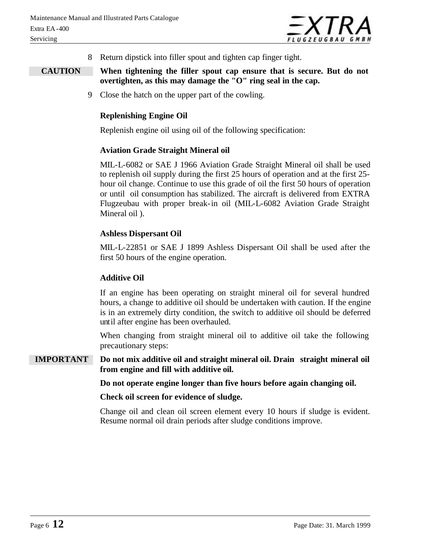

8 Return dipstick into filler spout and tighten cap finger tight.

#### **CAUTION When tightening the filler spout cap ensure that is secure. But do not overtighten, as this may damage the "O" ring seal in the cap.**

9 Close the hatch on the upper part of the cowling.

#### **Replenishing Engine Oil**

Replenish engine oil using oil of the following specification:

#### **Aviation Grade Straight Mineral oil**

MIL-L-6082 or SAE J 1966 Aviation Grade Straight Mineral oil shall be used to replenish oil supply during the first 25 hours of operation and at the first 25 hour oil change. Continue to use this grade of oil the first 50 hours of operation or until oil consumption has stabilized. The aircraft is delivered from EXTRA Flugzeubau with proper break-in oil (MIL-L-6082 Aviation Grade Straight Mineral oil ).

#### **Ashless Dispersant Oil**

MIL-L-22851 or SAE J 1899 Ashless Dispersant Oil shall be used after the first 50 hours of the engine operation.

#### **Additive Oil**

If an engine has been operating on straight mineral oil for several hundred hours, a change to additive oil should be undertaken with caution. If the engine is in an extremely dirty condition, the switch to additive oil should be deferred until after engine has been overhauled.

When changing from straight mineral oil to additive oil take the following precautionary steps:

**IMPORTANT Do not mix additive oil and straight mineral oil. Drain straight mineral oil from engine and fill with additive oil.**

**Do not operate engine longer than five hours before again changing oil.**

**Check oil screen for evidence of sludge.**

Change oil and clean oil screen element every 10 hours if sludge is evident. Resume normal oil drain periods after sludge conditions improve.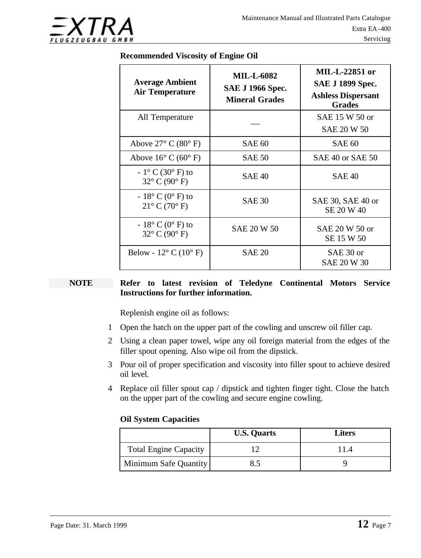

#### **Recommended Viscosity of Engine Oil**

| <b>Average Ambient</b><br><b>Air Temperature</b>                        | <b>MIL-L-6082</b><br><b>SAE J 1966 Spec.</b><br><b>Mineral Grades</b> | <b>MIL-L-22851 or</b><br><b>SAE J 1899 Spec.</b><br><b>Ashless Dispersant</b><br><b>Grades</b> |
|-------------------------------------------------------------------------|-----------------------------------------------------------------------|------------------------------------------------------------------------------------------------|
| All Temperature                                                         |                                                                       | SAE 15 W 50 or<br><b>SAE 20 W 50</b>                                                           |
| Above $27^{\circ}$ C (80 $^{\circ}$ F)                                  | SAE 60                                                                | <b>SAE 60</b>                                                                                  |
| Above $16^{\circ}$ C $(60^{\circ}$ F)                                   | <b>SAE 50</b>                                                         | SAE 40 or SAE 50                                                                               |
| $-1^{\circ}$ C (30 $^{\circ}$ F) to<br>$32^{\circ}$ C (90 $^{\circ}$ F) | <b>SAE 40</b>                                                         | <b>SAE 40</b>                                                                                  |
| $-18^{\circ}$ C (0 $^{\circ}$ F) to<br>$21^{\circ}$ C (70 $^{\circ}$ F) | <b>SAE 30</b>                                                         | SAE 30, SAE 40 or<br>SE 20 W 40                                                                |
| $-18^{\circ}$ C (0 $^{\circ}$ F) to<br>$32^{\circ}$ C (90 $^{\circ}$ F) | <b>SAE 20 W 50</b>                                                    | SAE 20 W 50 or<br>SE 15 W 50                                                                   |
| Below - $12^{\circ}$ C (10 $^{\circ}$ F)                                | <b>SAE 20</b>                                                         | SAE 30 or<br>SAE 20 W 30                                                                       |

#### **NOTE Refer to latest revision of Teledyne Continental Motors Service Instructions for further information.**

Replenish engine oil as follows:

- 1 Open the hatch on the upper part of the cowling and unscrew oil filler cap.
- 2 Using a clean paper towel, wipe any oil foreign material from the edges of the filler spout opening. Also wipe oil from the dipstick.
- 3 Pour oil of proper specification and viscosity into filler spout to achieve desired oil level.
- 4 Replace oil filler spout cap / dipstick and tighten finger tight. Close the hatch on the upper part of the cowling and secure engine cowling.

#### **Oil System Capacities**

|                              | <b>U.S. Quarts</b> | <b>Liters</b> |
|------------------------------|--------------------|---------------|
| <b>Total Engine Capacity</b> |                    |               |
| <b>Minimum Safe Quantity</b> |                    |               |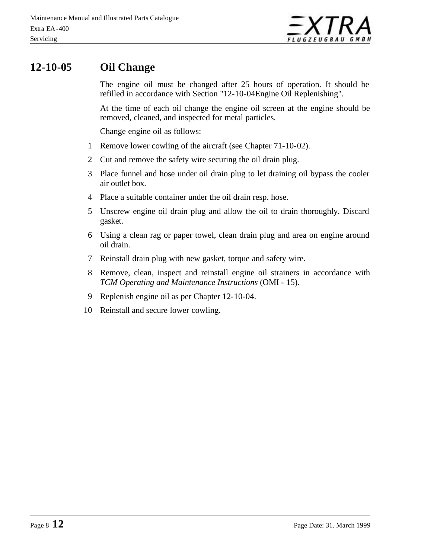

### **12-10-05 Oil Change**

The engine oil must be changed after 25 hours of operation. It should be refilled in accordance with Section "12-10-04Engine Oil Replenishing".

At the time of each oil change the engine oil screen at the engine should be removed, cleaned, and inspected for metal particles.

Change engine oil as follows:

- 1 Remove lower cowling of the aircraft (see Chapter 71-10-02).
- 2 Cut and remove the safety wire securing the oil drain plug.
- 3 Place funnel and hose under oil drain plug to let draining oil bypass the cooler air outlet box.
- 4 Place a suitable container under the oil drain resp. hose.
- 5 Unscrew engine oil drain plug and allow the oil to drain thoroughly. Discard gasket.
- 6 Using a clean rag or paper towel, clean drain plug and area on engine around oil drain.
- 7 Reinstall drain plug with new gasket, torque and safety wire.
- 8 Remove, clean, inspect and reinstall engine oil strainers in accordance with *TCM Operating and Maintenance Instructions* (OMI - 15).
- 9 Replenish engine oil as per Chapter 12-10-04.
- 10 Reinstall and secure lower cowling.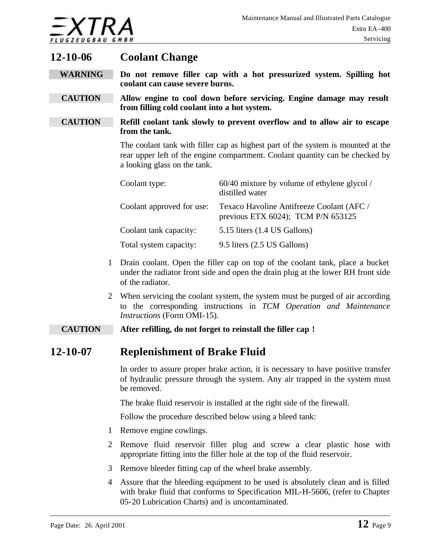

### **12-10-06 Coolant Change**

- **WARNING Do not remove filler cap with a hot pressurized system. Spilling hot coolant can cause severe burns.**
- **CAUTION Allow engine to cool down before servicing. Engine damage may result from filling cold coolant into a hot system.**
- **CAUTION Refill coolant tank slowly to prevent overflow and to allow air to escape from the tank.**

The coolant tank with filler cap as highest part of the system is mounted at the rear upper left of the engine compartment. Coolant quantity can be checked by a looking glass on the tank.

| Coolant type:             | 60/40 mixture by volume of ethylene glycol /<br>distilled water                      |
|---------------------------|--------------------------------------------------------------------------------------|
| Coolant approved for use: | Texaco Havoline Antifreeze Coolant (AFC /<br>previous ETX $6024$ ); TCM P/N $653125$ |
| Coolant tank capacity:    | 5.15 liters (1.4 US Gallons)                                                         |
| Total system capacity:    | 9.5 liters (2.5 US Gallons)                                                          |

- 1 Drain coolant. Open the filler cap on top of the coolant tank, place a bucket under the radiator front side and open the drain plug at the lower RH front side of the radiator.
- 2 When servicing the coolant system, the system must be purged of air according to the corresponding instructions in *TCM Operation and Maintenance Instructions* (Form OMI-15).

#### **CAUTION After refilling, do not forget to reinstall the filler cap !**

### **12-10-07 Replenishment of Brake Fluid**

In order to assure proper brake action, it is necessary to have positive transfer of hydraulic pressure through the system. Any air trapped in the system must be removed.

The brake fluid reservoir is installed at the right side of the firewall.

Follow the procedure described below using a bleed tank:

- 1 Remove engine cowlings.
- 2 Remove fluid reservoir filler plug and screw a clear plastic hose with appropriate fitting into the filler hole at the top of the fluid reservoir.
- 3 Remove bleeder fitting cap of the wheel brake assembly.
- 4 Assure that the bleeding equipment to be used is absolutely clean and is filled with brake fluid that conforms to Specification MIL-H-5606, (refer to Chapter 05-20 Lubrication Charts) and is uncontaminated.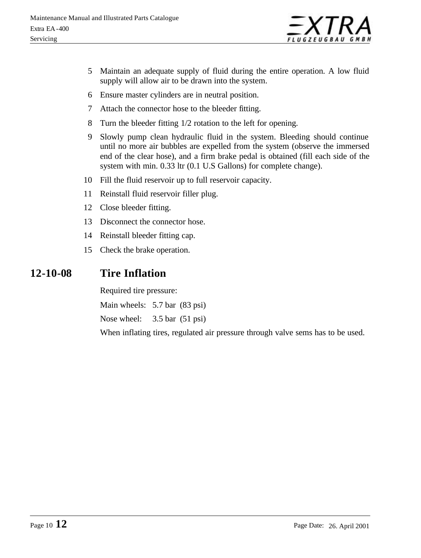

- 5 Maintain an adequate supply of fluid during the entire operation. A low fluid supply will allow air to be drawn into the system.
- 6 Ensure master cylinders are in neutral position.
- 7 Attach the connector hose to the bleeder fitting.
- 8 Turn the bleeder fitting 1/2 rotation to the left for opening.
- 9 Slowly pump clean hydraulic fluid in the system. Bleeding should continue until no more air bubbles are expelled from the system (observe the immersed end of the clear hose), and a firm brake pedal is obtained (fill each side of the system with min. 0.33 ltr (0.1 U.S Gallons) for complete change).
- 10 Fill the fluid reservoir up to full reservoir capacity.
- 11 Reinstall fluid reservoir filler plug.
- 12 Close bleeder fitting.
- 13 Disconnect the connector hose.
- 14 Reinstall bleeder fitting cap.
- 15 Check the brake operation.

### **12-10-08 Tire Inflation**

Required tire pressure:

Main wheels: 5.7 bar (83 psi)

Nose wheel: 3.5 bar (51 psi)

When inflating tires, regulated air pressure through valve sems has to be used.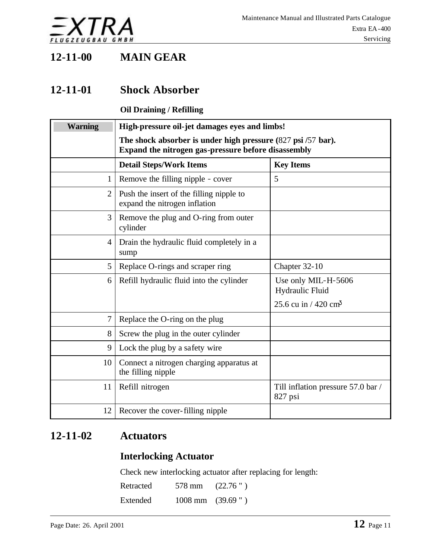

### **12-11-00 MAIN GEAR**

### **12-11-01 Shock Absorber**

### **Oil Draining / Refilling**

| <b>Warning</b> | High-pressure oil-jet damages eyes and limbs!                                                                       |                                               |  |
|----------------|---------------------------------------------------------------------------------------------------------------------|-----------------------------------------------|--|
|                | The shock absorber is under high pressure (827 psi /57 bar).<br>Expand the nitrogen gas-pressure before disassembly |                                               |  |
|                | <b>Detail Steps/Work Items</b>                                                                                      | <b>Key Items</b>                              |  |
| 1              | Remove the filling nipple - cover                                                                                   | 5                                             |  |
| $\overline{2}$ | Push the insert of the filling nipple to<br>expand the nitrogen inflation                                           |                                               |  |
| 3              | Remove the plug and O-ring from outer<br>cylinder                                                                   |                                               |  |
| 4              | Drain the hydraulic fluid completely in a<br>sump                                                                   |                                               |  |
| 5              | Replace O-rings and scraper ring                                                                                    | Chapter 32-10                                 |  |
| 6              | Refill hydraulic fluid into the cylinder                                                                            | Use only MIL-H-5606<br>Hydraulic Fluid        |  |
|                |                                                                                                                     | 25.6 cu in $/420$ cm <sup>3</sup>             |  |
| 7              | Replace the O-ring on the plug                                                                                      |                                               |  |
| 8              | Screw the plug in the outer cylinder                                                                                |                                               |  |
| 9              | Lock the plug by a safety wire                                                                                      |                                               |  |
| 10             | Connect a nitrogen charging apparatus at<br>the filling nipple                                                      |                                               |  |
| 11             | Refill nitrogen                                                                                                     | Till inflation pressure 57.0 bar /<br>827 psi |  |
| 12             | Recover the cover-filling nipple                                                                                    |                                               |  |

### **12-11-02 Actuators**

### **Interlocking Actuator**

Check new interlocking actuator after replacing for length:

| Retracted | 578 mm                      | (22.76") |
|-----------|-----------------------------|----------|
| Extended  | $1008 \text{ mm}$ (39.69 ") |          |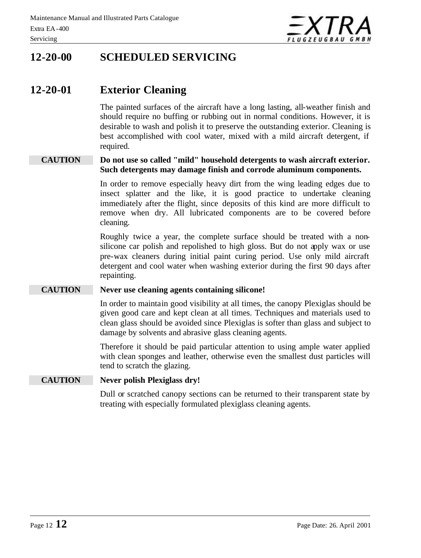

### **12-20-00 SCHEDULED SERVICING**

### **12-20-01 Exterior Cleaning**

The painted surfaces of the aircraft have a long lasting, all-weather finish and should require no buffing or rubbing out in normal conditions. However, it is desirable to wash and polish it to preserve the outstanding exterior. Cleaning is best accomplished with cool water, mixed with a mild aircraft detergent, if required.

#### **CAUTION Do not use so called "mild" household detergents to wash aircraft exterior. Such detergents may damage finish and corrode aluminum components.**

In order to remove especially heavy dirt from the wing leading edges due to insect splatter and the like, it is good practice to undertake cleaning immediately after the flight, since deposits of this kind are more difficult to remove when dry. All lubricated components are to be covered before cleaning.

Roughly twice a year, the complete surface should be treated with a nonsilicone car polish and repolished to high gloss. But do not apply wax or use pre-wax cleaners during initial paint curing period. Use only mild aircraft detergent and cool water when washing exterior during the first 90 days after repainting.

#### **CAUTION Never use cleaning agents containing silicone!**

In order to maintain good visibility at all times, the canopy Plexiglas should be given good care and kept clean at all times. Techniques and materials used to clean glass should be avoided since Plexiglas is softer than glass and subject to damage by solvents and abrasive glass cleaning agents.

Therefore it should be paid particular attention to using ample water applied with clean sponges and leather, otherwise even the smallest dust particles will tend to scratch the glazing.

#### **CAUTION Never polish Plexiglass dry!**

Dull or scratched canopy sections can be returned to their transparent state by treating with especially formulated plexiglass cleaning agents.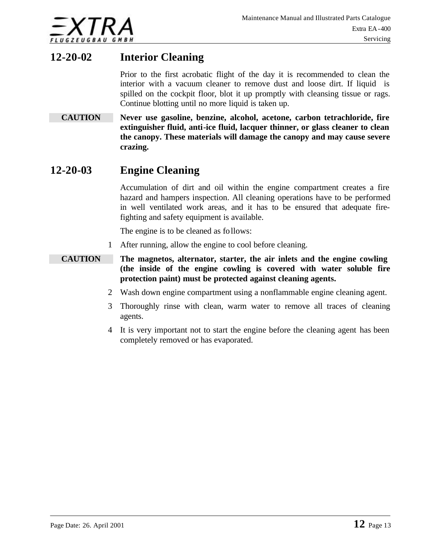

### **12-20-02 Interior Cleaning**

Prior to the first acrobatic flight of the day it is recommended to clean the interior with a vacuum cleaner to remove dust and loose dirt. If liquid is spilled on the cockpit floor, blot it up promptly with cleansing tissue or rags. Continue blotting until no more liquid is taken up.

**CAUTION Never use gasoline, benzine, alcohol, acetone, carbon tetrachloride, fire extinguisher fluid, anti-ice fluid, lacquer thinner, or glass cleaner to clean the canopy. These materials will damage the canopy and may cause severe crazing.**

### **12-20-03 Engine Cleaning**

Accumulation of dirt and oil within the engine compartment creates a fire hazard and hampers inspection. All cleaning operations have to be performed in well ventilated work areas, and it has to be ensured that adequate firefighting and safety equipment is available.

The engine is to be cleaned as follows:

- 1 After running, allow the engine to cool before cleaning.
- **CAUTION The magnetos, alternator, starter, the air inlets and the engine cowling (the inside of the engine cowling is covered with water soluble fire protection paint) must be protected against cleaning agents.**
	- 2 Wash down engine compartment using a nonflammable engine cleaning agent.
	- 3 Thoroughly rinse with clean, warm water to remove all traces of cleaning agents.
	- 4 It is very important not to start the engine before the cleaning agent has been completely removed or has evaporated.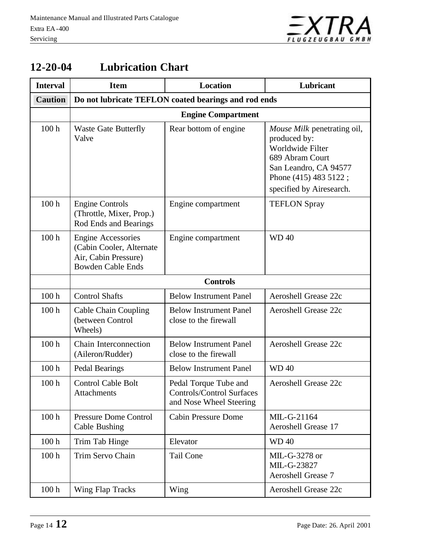

| <b>Interval</b>  | <b>Item</b>                                                                                               | Location                                                                             | Lubricant                                                                                                                                                        |
|------------------|-----------------------------------------------------------------------------------------------------------|--------------------------------------------------------------------------------------|------------------------------------------------------------------------------------------------------------------------------------------------------------------|
| <b>Caution</b>   | Do not lubricate TEFLON coated bearings and rod ends                                                      |                                                                                      |                                                                                                                                                                  |
|                  | <b>Engine Compartment</b>                                                                                 |                                                                                      |                                                                                                                                                                  |
| 100 <sub>h</sub> | <b>Waste Gate Butterfly</b><br>Valve                                                                      | Rear bottom of engine                                                                | Mouse Milk penetrating oil,<br>produced by:<br>Worldwide Filter<br>689 Abram Court<br>San Leandro, CA 94577<br>Phone (415) 483 5122;<br>specified by Airesearch. |
| 100 <sub>h</sub> | <b>Engine Controls</b><br>(Throttle, Mixer, Prop.)<br>Rod Ends and Bearings                               | Engine compartment                                                                   | <b>TEFLON Spray</b>                                                                                                                                              |
| 100 <sub>h</sub> | <b>Engine Accessories</b><br>(Cabin Cooler, Alternate<br>Air, Cabin Pressure)<br><b>Bowden Cable Ends</b> | Engine compartment                                                                   | <b>WD40</b>                                                                                                                                                      |
|                  | <b>Controls</b>                                                                                           |                                                                                      |                                                                                                                                                                  |
| 100 <sub>h</sub> | <b>Control Shafts</b>                                                                                     | <b>Below Instrument Panel</b>                                                        | <b>Aeroshell Grease 22c</b>                                                                                                                                      |
| 100 <sub>h</sub> | Cable Chain Coupling<br>(between Control<br>Wheels)                                                       | <b>Below Instrument Panel</b><br>close to the firewall                               | Aeroshell Grease 22c                                                                                                                                             |
| 100 <sub>h</sub> | <b>Chain Interconnection</b><br>(Aileron/Rudder)                                                          | <b>Below Instrument Panel</b><br>close to the firewall                               | <b>Aeroshell Grease 22c</b>                                                                                                                                      |
| 100 <sub>h</sub> | <b>Pedal Bearings</b>                                                                                     | <b>Below Instrument Panel</b>                                                        | <b>WD40</b>                                                                                                                                                      |
| 100 <sub>h</sub> | <b>Control Cable Bolt</b><br>Attachments                                                                  | Pedal Torque Tube and<br><b>Controls/Control Surfaces</b><br>and Nose Wheel Steering | <b>Aeroshell Grease 22c</b>                                                                                                                                      |
| 100 <sub>h</sub> | <b>Pressure Dome Control</b><br>Cable Bushing                                                             | <b>Cabin Pressure Dome</b>                                                           | MIL-G-21164<br><b>Aeroshell Grease 17</b>                                                                                                                        |
| 100 <sub>h</sub> | Trim Tab Hinge                                                                                            | Elevator                                                                             | <b>WD40</b>                                                                                                                                                      |
| 100 <sub>h</sub> | Trim Servo Chain                                                                                          | <b>Tail Cone</b>                                                                     | MIL-G-3278 or<br>MIL-G-23827<br><b>Aeroshell Grease 7</b>                                                                                                        |
| 100 <sub>h</sub> | Wing Flap Tracks                                                                                          | Wing                                                                                 | Aeroshell Grease 22c                                                                                                                                             |

### **12-20-04 Lubrication Chart**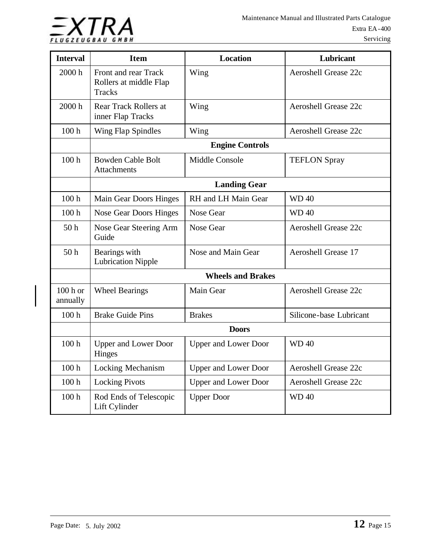

| <b>Interval</b>       | <b>Item</b>                                                     | <b>Location</b>             | Lubricant                   |
|-----------------------|-----------------------------------------------------------------|-----------------------------|-----------------------------|
| 2000 h                | Front and rear Track<br>Rollers at middle Flap<br><b>Tracks</b> | Wing                        | <b>Aeroshell Grease 22c</b> |
| 2000 h                | Rear Track Rollers at<br>inner Flap Tracks                      | Wing                        | <b>Aeroshell Grease 22c</b> |
| 100 <sub>h</sub>      | <b>Wing Flap Spindles</b>                                       | Wing                        | <b>Aeroshell Grease 22c</b> |
|                       | <b>Engine Controls</b>                                          |                             |                             |
| 100 <sub>h</sub>      | <b>Bowden Cable Bolt</b><br><b>Attachments</b>                  | <b>Middle Console</b>       | <b>TEFLON Spray</b>         |
|                       | <b>Landing Gear</b>                                             |                             |                             |
| 100h                  | Main Gear Doors Hinges                                          | RH and LH Main Gear         | <b>WD40</b>                 |
| 100 <sub>h</sub>      | Nose Gear Doors Hinges                                          | Nose Gear                   | <b>WD40</b>                 |
| 50 <sub>h</sub>       | Nose Gear Steering Arm<br>Guide                                 | <b>Nose Gear</b>            | <b>Aeroshell Grease 22c</b> |
| 50 <sub>h</sub>       | Bearings with<br><b>Lubrication Nipple</b>                      | Nose and Main Gear          | <b>Aeroshell Grease 17</b>  |
|                       | <b>Wheels and Brakes</b>                                        |                             |                             |
| $100h$ or<br>annually | <b>Wheel Bearings</b>                                           | Main Gear                   | <b>Aeroshell Grease 22c</b> |
| 100 <sub>h</sub>      | <b>Brake Guide Pins</b>                                         | <b>Brakes</b>               | Silicone-base Lubricant     |
|                       | <b>Doors</b>                                                    |                             |                             |
| 100 <sub>h</sub>      | <b>Upper and Lower Door</b><br>Hinges                           | <b>Upper and Lower Door</b> | <b>WD40</b>                 |
| 100 <sub>h</sub>      | <b>Locking Mechanism</b>                                        | <b>Upper and Lower Door</b> | <b>Aeroshell Grease 22c</b> |
| 100 <sub>h</sub>      | <b>Locking Pivots</b>                                           | <b>Upper and Lower Door</b> | <b>Aeroshell Grease 22c</b> |
| 100 <sub>h</sub>      | Rod Ends of Telescopic<br>Lift Cylinder                         | <b>Upper Door</b>           | <b>WD40</b>                 |